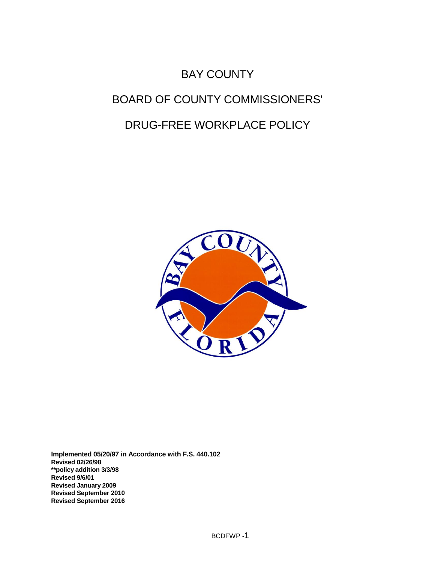# BAY COUNTY BOARD OF COUNTY COMMISSIONERS' DRUG-FREE WORKPLACE POLICY



**Implemented 05/20/97 in Accordance with F.S. 440.102 Revised 02/26/98 \*\*policy addition 3/3/98 Revised 9/6/01 Revised January 2009 Revised September 2010 Revised September 2016**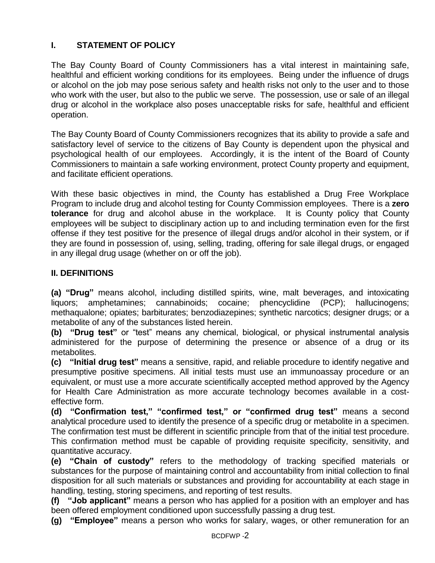# **I. STATEMENT OF POLICY**

The Bay County Board of County Commissioners has a vital interest in maintaining safe, healthful and efficient working conditions for its employees. Being under the influence of drugs or alcohol on the job may pose serious safety and health risks not only to the user and to those who work with the user, but also to the public we serve. The possession, use or sale of an illegal drug or alcohol in the workplace also poses unacceptable risks for safe, healthful and efficient operation.

The Bay County Board of County Commissioners recognizes that its ability to provide a safe and satisfactory level of service to the citizens of Bay County is dependent upon the physical and psychological health of our employees. Accordingly, it is the intent of the Board of County Commissioners to maintain a safe working environment, protect County property and equipment, and facilitate efficient operations.

With these basic objectives in mind, the County has established a Drug Free Workplace Program to include drug and alcohol testing for County Commission employees. There is a **zero tolerance** for drug and alcohol abuse in the workplace. It is County policy that County employees will be subject to disciplinary action up to and including termination even for the first offense if they test positive for the presence of illegal drugs and/or alcohol in their system, or if they are found in possession of, using, selling, trading, offering for sale illegal drugs, or engaged in any illegal drug usage (whether on or off the job).

## **II. DEFINITIONS**

**(a) "Drug"** means alcohol, including distilled spirits, wine, malt beverages, and intoxicating liquors; amphetamines; cannabinoids; cocaine; phencyclidine (PCP); hallucinogens; methaqualone; opiates; barbiturates; benzodiazepines; synthetic narcotics; designer drugs; or a metabolite of any of the substances listed herein.

**(b) "Drug test"** or "test" means any chemical, biological, or physical instrumental analysis administered for the purpose of determining the presence or absence of a drug or its metabolites.

**(c) "Initial drug test"** means a sensitive, rapid, and reliable procedure to identify negative and presumptive positive specimens. All initial tests must use an immunoassay procedure or an equivalent, or must use a more accurate scientifically accepted method approved by the Agency for Health Care Administration as more accurate technology becomes available in a costeffective form.

**(d) "Confirmation test," "confirmed test," or "confirmed drug test"** means a second analytical procedure used to identify the presence of a specific drug or metabolite in a specimen. The confirmation test must be different in scientific principle from that of the initial test procedure. This confirmation method must be capable of providing requisite specificity, sensitivity, and quantitative accuracy.

**(e) "Chain of custody"** refers to the methodology of tracking specified materials or substances for the purpose of maintaining control and accountability from initial collection to final disposition for all such materials or substances and providing for accountability at each stage in handling, testing, storing specimens, and reporting of test results.

**(f) "Job applicant"** means a person who has applied for a position with an employer and has been offered employment conditioned upon successfully passing a drug test.

**(g) "Employee"** means a person who works for salary, wages, or other remuneration for an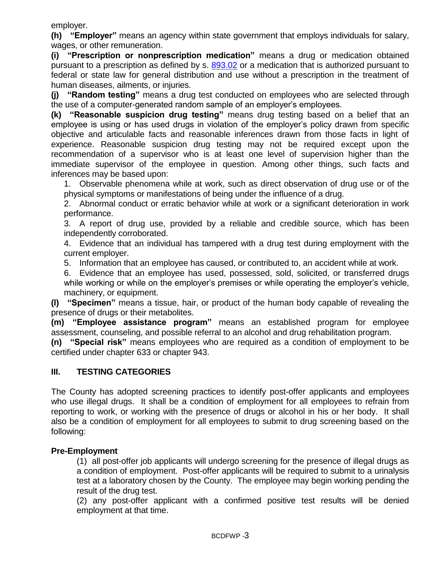employer.

**(h) "Employer"** means an agency within state government that employs individuals for salary, wages, or other remuneration.

**(i) "Prescription or nonprescription medication"** means a drug or medication obtained pursuant to a prescription as defined by s. [893.02](http://www.leg.state.fl.us/statutes/index.cfm?App_mode=Display_Statute&Search_String=&URL=0800-0899/0893/Sections/0893.02.html) or a medication that is authorized pursuant to federal or state law for general distribution and use without a prescription in the treatment of human diseases, ailments, or injuries.

**(j) "Random testing"** means a drug test conducted on employees who are selected through the use of a computer-generated random sample of an employer's employees.

**(k) "Reasonable suspicion drug testing"** means drug testing based on a belief that an employee is using or has used drugs in violation of the employer's policy drawn from specific objective and articulable facts and reasonable inferences drawn from those facts in light of experience. Reasonable suspicion drug testing may not be required except upon the recommendation of a supervisor who is at least one level of supervision higher than the immediate supervisor of the employee in question. Among other things, such facts and inferences may be based upon:

1. Observable phenomena while at work, such as direct observation of drug use or of the physical symptoms or manifestations of being under the influence of a drug.

2. Abnormal conduct or erratic behavior while at work or a significant deterioration in work performance.

3. A report of drug use, provided by a reliable and credible source, which has been independently corroborated.

4. Evidence that an individual has tampered with a drug test during employment with the current employer.

5. Information that an employee has caused, or contributed to, an accident while at work.

6. Evidence that an employee has used, possessed, sold, solicited, or transferred drugs while working or while on the employer's premises or while operating the employer's vehicle, machinery, or equipment.

**(l) "Specimen"** means a tissue, hair, or product of the human body capable of revealing the presence of drugs or their metabolites.

**(m) "Employee assistance program"** means an established program for employee assessment, counseling, and possible referral to an alcohol and drug rehabilitation program.

**(n) "Special risk"** means employees who are required as a condition of employment to be certified under chapter 633 or chapter 943.

## **III. TESTING CATEGORIES**

The County has adopted screening practices to identify post-offer applicants and employees who use illegal drugs. It shall be a condition of employment for all employees to refrain from reporting to work, or working with the presence of drugs or alcohol in his or her body. It shall also be a condition of employment for all employees to submit to drug screening based on the following:

## **Pre-Employment**

(1) all post-offer job applicants will undergo screening for the presence of illegal drugs as a condition of employment. Post-offer applicants will be required to submit to a urinalysis test at a laboratory chosen by the County. The employee may begin working pending the result of the drug test.

(2) any post-offer applicant with a confirmed positive test results will be denied employment at that time.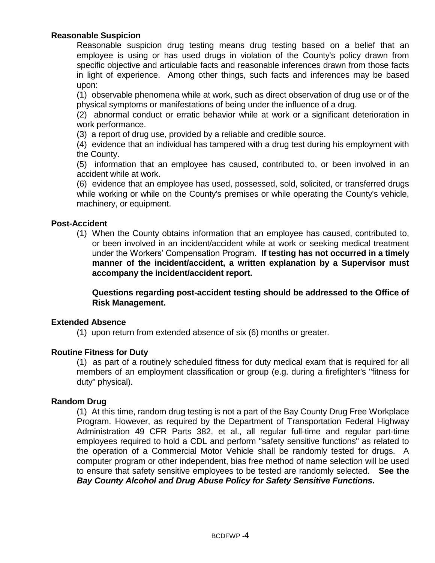## **Reasonable Suspicion**

Reasonable suspicion drug testing means drug testing based on a belief that an employee is using or has used drugs in violation of the County's policy drawn from specific objective and articulable facts and reasonable inferences drawn from those facts in light of experience. Among other things, such facts and inferences may be based upon:

(1) observable phenomena while at work, such as direct observation of drug use or of the physical symptoms or manifestations of being under the influence of a drug.

(2) abnormal conduct or erratic behavior while at work or a significant deterioration in work performance.

(3) a report of drug use, provided by a reliable and credible source.

(4) evidence that an individual has tampered with a drug test during his employment with the County.

(5) information that an employee has caused, contributed to, or been involved in an accident while at work.

(6) evidence that an employee has used, possessed, sold, solicited, or transferred drugs while working or while on the County's premises or while operating the County's vehicle, machinery, or equipment.

## **Post-Accident**

(1) When the County obtains information that an employee has caused, contributed to, or been involved in an incident/accident while at work or seeking medical treatment under the Workers' Compensation Program. **If testing has not occurred in a timely manner of the incident/accident, a written explanation by a Supervisor must accompany the incident/accident report.**

**Questions regarding post-accident testing should be addressed to the Office of Risk Management.**

## **Extended Absence**

(1) upon return from extended absence of six (6) months or greater.

#### **Routine Fitness for Duty**

(1) as part of a routinely scheduled fitness for duty medical exam that is required for all members of an employment classification or group (e.g. during a firefighter's "fitness for duty" physical).

#### **Random Drug**

(1) At this time, random drug testing is not a part of the Bay County Drug Free Workplace Program. However, as required by the Department of Transportation Federal Highway Administration 49 CFR Parts 382, et al., all regular full-time and regular part-time employees required to hold a CDL and perform "safety sensitive functions" as related to the operation of a Commercial Motor Vehicle shall be randomly tested for drugs. A computer program or other independent, bias free method of name selection will be used to ensure that safety sensitive employees to be tested are randomly selected. **See the**  *Bay County Alcohol and Drug Abuse Policy for Safety Sensitive Functions***.**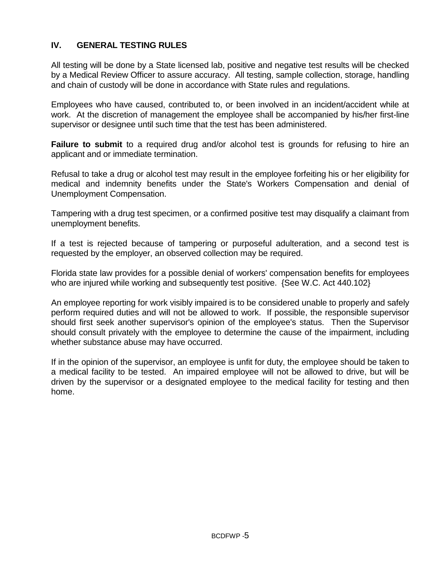## **IV. GENERAL TESTING RULES**

All testing will be done by a State licensed lab, positive and negative test results will be checked by a Medical Review Officer to assure accuracy. All testing, sample collection, storage, handling and chain of custody will be done in accordance with State rules and regulations.

Employees who have caused, contributed to, or been involved in an incident/accident while at work. At the discretion of management the employee shall be accompanied by his/her first-line supervisor or designee until such time that the test has been administered.

**Failure to submit** to a required drug and/or alcohol test is grounds for refusing to hire an applicant and or immediate termination.

Refusal to take a drug or alcohol test may result in the employee forfeiting his or her eligibility for medical and indemnity benefits under the State's Workers Compensation and denial of Unemployment Compensation.

Tampering with a drug test specimen, or a confirmed positive test may disqualify a claimant from unemployment benefits.

If a test is rejected because of tampering or purposeful adulteration, and a second test is requested by the employer, an observed collection may be required.

Florida state law provides for a possible denial of workers' compensation benefits for employees who are injured while working and subsequently test positive. {See W.C. Act 440.102}

An employee reporting for work visibly impaired is to be considered unable to properly and safely perform required duties and will not be allowed to work. If possible, the responsible supervisor should first seek another supervisor's opinion of the employee's status. Then the Supervisor should consult privately with the employee to determine the cause of the impairment, including whether substance abuse may have occurred.

If in the opinion of the supervisor, an employee is unfit for duty, the employee should be taken to a medical facility to be tested. An impaired employee will not be allowed to drive, but will be driven by the supervisor or a designated employee to the medical facility for testing and then home.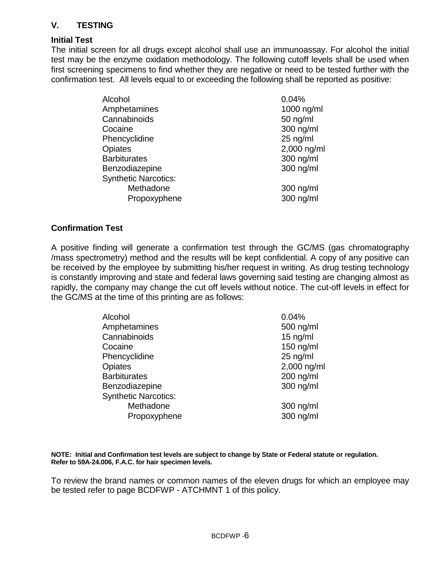# **V. TESTING**

#### **Initial Test**

The initial screen for all drugs except alcohol shall use an immunoassay. For alcohol the initial test may be the enzyme oxidation methodology. The following cutoff levels shall be used when first screening specimens to find whether they are negative or need to be tested further with the confirmation test. All levels equal to or exceeding the following shall be reported as positive:

| Alcohol                     | 0.04%       |
|-----------------------------|-------------|
| Amphetamines                | 1000 ng/ml  |
| Cannabinoids                | $50$ ng/ml  |
| Cocaine                     | 300 ng/ml   |
| Phencyclidine               | $25$ ng/ml  |
| Opiates                     | 2,000 ng/ml |
| <b>Barbiturates</b>         | 300 ng/ml   |
| Benzodiazepine              | 300 ng/ml   |
| <b>Synthetic Narcotics:</b> |             |
| Methadone                   | 300 ng/ml   |
| Propoxyphene                | 300 ng/ml   |

#### **Confirmation Test**

A positive finding will generate a confirmation test through the GC/MS (gas chromatography /mass spectrometry) method and the results will be kept confidential. A copy of any positive can be received by the employee by submitting his/her request in writing. As drug testing technology is constantly improving and state and federal laws governing said testing are changing almost as rapidly, the company may change the cut off levels without notice. The cut-off levels in effect for the GC/MS at the time of this printing are as follows:

| Alcohol                     | 0.04%       |
|-----------------------------|-------------|
| Amphetamines                | 500 ng/ml   |
| Cannabinoids                | $15$ ng/ml  |
| Cocaine                     | 150 ng/ml   |
| Phencyclidine               | $25$ ng/ml  |
| Opiates                     | 2,000 ng/ml |
| <b>Barbiturates</b>         | 200 ng/ml   |
| Benzodiazepine              | 300 ng/ml   |
| <b>Synthetic Narcotics:</b> |             |
| Methadone                   | 300 ng/ml   |
| Propoxyphene                | 300 ng/ml   |
|                             |             |

**NOTE: Initial and Confirmation test levels are subject to change by State or Federal statute or regulation. Refer to 59A-24.006, F.A.C. for hair specimen levels.**

To review the brand names or common names of the eleven drugs for which an employee may be tested refer to page BCDFWP - ATCHMNT 1 of this policy.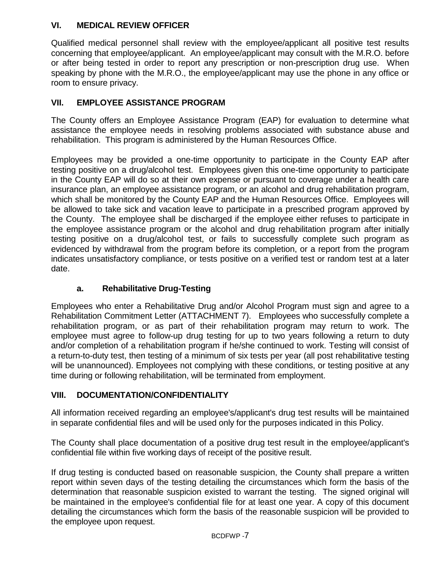# **VI. MEDICAL REVIEW OFFICER**

Qualified medical personnel shall review with the employee/applicant all positive test results concerning that employee/applicant. An employee/applicant may consult with the M.R.O. before or after being tested in order to report any prescription or non-prescription drug use. When speaking by phone with the M.R.O., the employee/applicant may use the phone in any office or room to ensure privacy.

# **VII. EMPLOYEE ASSISTANCE PROGRAM**

The County offers an Employee Assistance Program (EAP) for evaluation to determine what assistance the employee needs in resolving problems associated with substance abuse and rehabilitation. This program is administered by the Human Resources Office.

Employees may be provided a one-time opportunity to participate in the County EAP after testing positive on a drug/alcohol test. Employees given this one-time opportunity to participate in the County EAP will do so at their own expense or pursuant to coverage under a health care insurance plan, an employee assistance program, or an alcohol and drug rehabilitation program, which shall be monitored by the County EAP and the Human Resources Office. Employees will be allowed to take sick and vacation leave to participate in a prescribed program approved by the County. The employee shall be discharged if the employee either refuses to participate in the employee assistance program or the alcohol and drug rehabilitation program after initially testing positive on a drug/alcohol test, or fails to successfully complete such program as evidenced by withdrawal from the program before its completion, or a report from the program indicates unsatisfactory compliance, or tests positive on a verified test or random test at a later date.

# **a. Rehabilitative Drug-Testing**

Employees who enter a Rehabilitative Drug and/or Alcohol Program must sign and agree to a Rehabilitation Commitment Letter (ATTACHMENT 7). Employees who successfully complete a rehabilitation program, or as part of their rehabilitation program may return to work. The employee must agree to follow-up drug testing for up to two years following a return to duty and/or completion of a rehabilitation program if he/she continued to work. Testing will consist of a return-to-duty test, then testing of a minimum of six tests per year (all post rehabilitative testing will be unannounced). Employees not complying with these conditions, or testing positive at any time during or following rehabilitation, will be terminated from employment.

## **VIII. DOCUMENTATION/CONFIDENTIALITY**

All information received regarding an employee's/applicant's drug test results will be maintained in separate confidential files and will be used only for the purposes indicated in this Policy.

The County shall place documentation of a positive drug test result in the employee/applicant's confidential file within five working days of receipt of the positive result.

If drug testing is conducted based on reasonable suspicion, the County shall prepare a written report within seven days of the testing detailing the circumstances which form the basis of the determination that reasonable suspicion existed to warrant the testing. The signed original will be maintained in the employee's confidential file for at least one year. A copy of this document detailing the circumstances which form the basis of the reasonable suspicion will be provided to the employee upon request.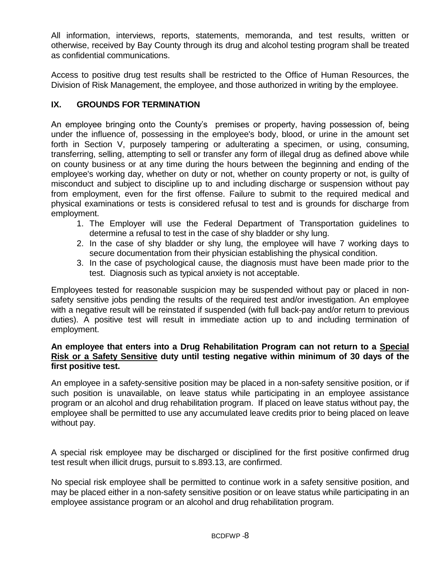All information, interviews, reports, statements, memoranda, and test results, written or otherwise, received by Bay County through its drug and alcohol testing program shall be treated as confidential communications.

Access to positive drug test results shall be restricted to the Office of Human Resources, the Division of Risk Management, the employee, and those authorized in writing by the employee.

## **IX. GROUNDS FOR TERMINATION**

An employee bringing onto the County's premises or property, having possession of, being under the influence of, possessing in the employee's body, blood, or urine in the amount set forth in Section V, purposely tampering or adulterating a specimen, or using, consuming, transferring, selling, attempting to sell or transfer any form of illegal drug as defined above while on county business or at any time during the hours between the beginning and ending of the employee's working day, whether on duty or not, whether on county property or not, is guilty of misconduct and subject to discipline up to and including discharge or suspension without pay from employment, even for the first offense. Failure to submit to the required medical and physical examinations or tests is considered refusal to test and is grounds for discharge from employment.

- 1. The Employer will use the Federal Department of Transportation guidelines to determine a refusal to test in the case of shy bladder or shy lung.
- 2. In the case of shy bladder or shy lung, the employee will have 7 working days to secure documentation from their physician establishing the physical condition.
- 3. In the case of psychological cause, the diagnosis must have been made prior to the test. Diagnosis such as typical anxiety is not acceptable.

Employees tested for reasonable suspicion may be suspended without pay or placed in nonsafety sensitive jobs pending the results of the required test and/or investigation. An employee with a negative result will be reinstated if suspended (with full back-pay and/or return to previous duties). A positive test will result in immediate action up to and including termination of employment.

## **An employee that enters into a Drug Rehabilitation Program can not return to a Special Risk or a Safety Sensitive duty until testing negative within minimum of 30 days of the first positive test.**

An employee in a safety-sensitive position may be placed in a non-safety sensitive position, or if such position is unavailable, on leave status while participating in an employee assistance program or an alcohol and drug rehabilitation program. If placed on leave status without pay, the employee shall be permitted to use any accumulated leave credits prior to being placed on leave without pay.

A special risk employee may be discharged or disciplined for the first positive confirmed drug test result when illicit drugs, pursuit to s.893.13, are confirmed.

No special risk employee shall be permitted to continue work in a safety sensitive position, and may be placed either in a non-safety sensitive position or on leave status while participating in an employee assistance program or an alcohol and drug rehabilitation program.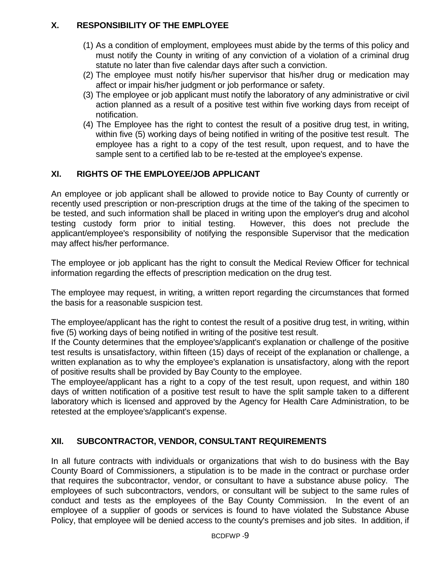# **X. RESPONSIBILITY OF THE EMPLOYEE**

- (1) As a condition of employment, employees must abide by the terms of this policy and must notify the County in writing of any conviction of a violation of a criminal drug statute no later than five calendar days after such a conviction.
- (2) The employee must notify his/her supervisor that his/her drug or medication may affect or impair his/her judgment or job performance or safety.
- (3) The employee or job applicant must notify the laboratory of any administrative or civil action planned as a result of a positive test within five working days from receipt of notification.
- (4) The Employee has the right to contest the result of a positive drug test, in writing, within five (5) working days of being notified in writing of the positive test result. The employee has a right to a copy of the test result, upon request, and to have the sample sent to a certified lab to be re-tested at the employee's expense.

# **XI. RIGHTS OF THE EMPLOYEE/JOB APPLICANT**

An employee or job applicant shall be allowed to provide notice to Bay County of currently or recently used prescription or non-prescription drugs at the time of the taking of the specimen to be tested, and such information shall be placed in writing upon the employer's drug and alcohol testing custody form prior to initial testing. However, this does not preclude the applicant/employee's responsibility of notifying the responsible Supervisor that the medication may affect his/her performance.

The employee or job applicant has the right to consult the Medical Review Officer for technical information regarding the effects of prescription medication on the drug test.

The employee may request, in writing, a written report regarding the circumstances that formed the basis for a reasonable suspicion test.

The employee/applicant has the right to contest the result of a positive drug test, in writing, within five (5) working days of being notified in writing of the positive test result.

If the County determines that the employee's/applicant's explanation or challenge of the positive test results is unsatisfactory, within fifteen (15) days of receipt of the explanation or challenge, a written explanation as to why the employee's explanation is unsatisfactory, along with the report of positive results shall be provided by Bay County to the employee.

The employee/applicant has a right to a copy of the test result, upon request, and within 180 days of written notification of a positive test result to have the split sample taken to a different laboratory which is licensed and approved by the Agency for Health Care Administration, to be retested at the employee's/applicant's expense.

# **XII. SUBCONTRACTOR, VENDOR, CONSULTANT REQUIREMENTS**

In all future contracts with individuals or organizations that wish to do business with the Bay County Board of Commissioners, a stipulation is to be made in the contract or purchase order that requires the subcontractor, vendor, or consultant to have a substance abuse policy. The employees of such subcontractors, vendors, or consultant will be subject to the same rules of conduct and tests as the employees of the Bay County Commission. In the event of an employee of a supplier of goods or services is found to have violated the Substance Abuse Policy, that employee will be denied access to the county's premises and job sites. In addition, if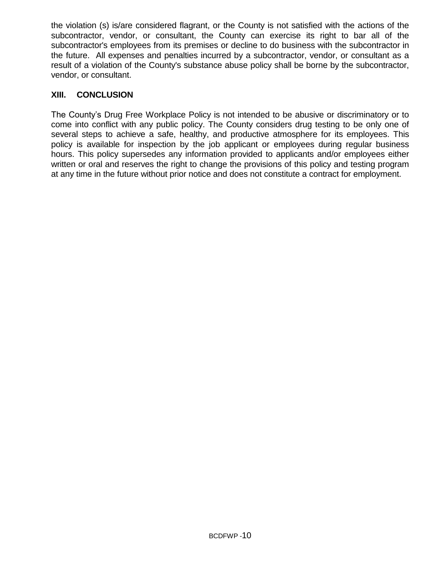the violation (s) is/are considered flagrant, or the County is not satisfied with the actions of the subcontractor, vendor, or consultant, the County can exercise its right to bar all of the subcontractor's employees from its premises or decline to do business with the subcontractor in the future. All expenses and penalties incurred by a subcontractor, vendor, or consultant as a result of a violation of the County's substance abuse policy shall be borne by the subcontractor, vendor, or consultant.

## **XIII. CONCLUSION**

The County's Drug Free Workplace Policy is not intended to be abusive or discriminatory or to come into conflict with any public policy. The County considers drug testing to be only one of several steps to achieve a safe, healthy, and productive atmosphere for its employees. This policy is available for inspection by the job applicant or employees during regular business hours. This policy supersedes any information provided to applicants and/or employees either written or oral and reserves the right to change the provisions of this policy and testing program at any time in the future without prior notice and does not constitute a contract for employment.